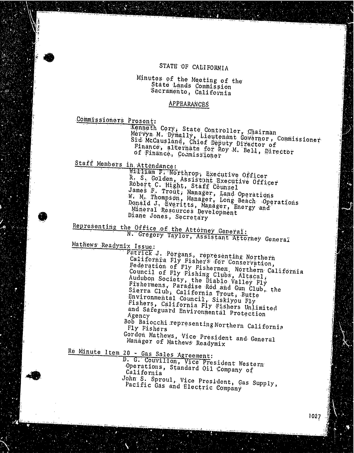## STATE OF CALIFORNIA

## Minutes of the Meeting of the State Lands Commission Sacramento, California

### APPEARANCES

Commissioners Present:

Kenneth Cory, State Controller, Chairman Mervyn M. Dymally, Licutenant Governor, Commissioner  $S_{\mu}^{\text{1d}}$  McCausland, Chief Deputy Director Finance, alternate for  $RoV$  M.  $Bol$ , Director of Finance, Commission

Staff Members in Attendance:

William F. Northrop, Executive Officer<br>R. S. Golden, Assistant Executive Officer R. S. Golden, Assistant Executive Officer<br>Robert C. Hight, Staff Counsel James F. Trout, Manager, Land Operations W. M. Thompson, Manager, Long Beach Operations<br>Donald J. Everitts, Manager, Energy and J Mineral Resources Development Diane Jones, Secretary

Representing the Office of the Attorney General N. Gregory Taylor, Assistant Attorney Go

Mathews' Readymix Issue:

Patrick J. Porgans., representing Northern California Fly Fishers for Conservation, Federation of Fly Fishermen, Northern Cal Council of Fly  $Fishing$  Clubs,  $A$ Audubon Society, the  $\lim_{h\to 0} S_h$   $\lim_{h\to 0} S_h$ Fishermens, Paradise Rod and Gun Club, Fishermens, Paradise Rod and Gun Club, the<br>Sierra Club, California Trout, Butte Environmental Council, Siskiyou Fly Fishers, California Fly Fishers Unlimited and Safeguard Environmental Protection Agency

Bob Baiocchi representing Northern California Fly Fisher

Gordon Mathews, Vice President and General Manager of Mathews Readymix

Re Minute Item 20 - Gas Sales Agreement:

D. G. Couvillon, Vice President We Operations, Standard Oil Company of California John S. Sproul, Vice President, Gas Supply,

Pacific Gas and Electric Company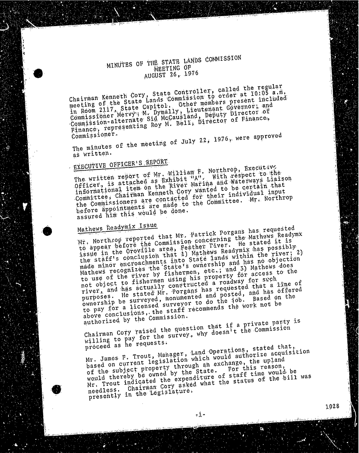# MINUTES OF THE STATE LANDS COMMISSION MEETING OF AUGUST 26, 1976

Chairman Roman State Lands Commission cambers present meeting of the State Capitol. Uther moment Governor, in Room 2117, Nervy M. Dymally, Lieu Capity Director Commissioner Merville Sid McCausian hirector of Pi Commission-alternating-Roy M. Bein; Director Finance, representing Roy M. Bell; Director of Finance,

Commissioner.  $\frac{m_1 m_2}{2}$  minutes of  $\frac{m_1 m_2}{2}$ 

# as written.<br>EXECUTIVE OFFICER'S REPORT

The written report of Mr. William R. Northrop, Brecutavy The written report of as Exhibit M. Marina and Waterwa Officer, is item on the River wanted to be informational item on the River Marina and Waterways Liaison Committee, Committee of Contacted for their individual input the Commissioners are made to the commissioners in  $\epsilon$ before appointments would be done. assured him this would be done.<br>Mathews Readymix Issue

Mr. Northcop reported that Mr. Patrick Porgans has requested Mr. Northwelore the Commission Concerter. He stated to appear before the area, reacher the Readymix has pos  $\frac{1}{10}$  issue  $\frac{1}{10}$  conclusion that  $\frac{1}{10}$  results in dis with the state  $\frac{1}{2}$  conclusion that  $\frac{1}{2}$  and  $\frac{1}{2}$  minor encroachments  $\frac{1}{2}$  and  $\frac{1}{2}$  and  $\frac{1}{2}$  and  $\frac{1}{2}$ made minor  $\frac{1}{2}$  recognizes the State's owner; and 3) Ma Mathews recognizes the State's ownership and has no objection not object to fishermen using his property for access to the not object the actually constructed requested the river, and he stated Mr. Porgans has found purposes: "surveyed, monumented and the job. Ba ownership be surveyed, surveyed,  $\frac{1}{2}$  the work not to pay  $f_{\text{out}}$   $\alpha$  list  $\alpha$ , the staff recommences on the  $\alpha$ above conclusions, the staff recommends the work not be authorized by the Commission.

Chairman Cory raised the question that if a private party is Chairman  $\frac{1}{2}$  ratio the survey, why doesn't  $W1111119$  to pay for the survey, which is the Commission of the Commission of the Commission of the Commission of the Commission of the Commission of the Commission of the Commission of the Commission of the Commission o

proceed as he requests.<br>Mr. James F. Trout, Manager, Land Operations, stated that, based on current legislation which would authorize acquisition of the subject property through an exchange, the upland would thereby be owned by the state. For this reason, Mr. Trout indicated the expenditure of staff time would be Mr. Trout indicated what the experience  $\frac{1}{2}$  needless.  $\frac{1}{2}$  as the Legislature. presently in the Legislature.

 $-1 -$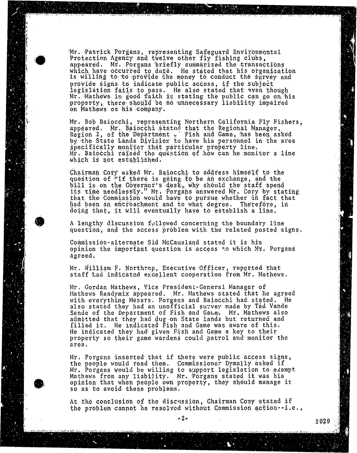Mr. Patrick Porgans, representing Safeguard Environmental<br>Protection Agency and twelve other fly fishing clubs, appeared. Mr. Porgans briefly summarized the transactions which have occurred to date. He stated that his is willing to to provide the money to conduct the provide signs to indicate public access, if the subject legislation fails to pass. He also stated Mr. Mathews in good faith to stating the public property, there should be no unnecessary liability impaired on Mathews on his company. on Mathews on his company.

Mr. Bob Bangconn, representing Northern California Fly Region 2, of the Department . Fish and Game, has by the State Lands Division to have his personned in the area specifically monitor that particular property line. Mr. Baiocchi raised the question of how can be monitor a line. which is not established. which is not different in the stablished of the state of the state of the state of the state of the state of the state of the state of the state of the state of the state of the state of the state of the state of the state

question of "If there is going to be an exchange, a  $\frac{1}{2}$  is on the  $6$  overnor's desk, why should the its time needlessly." Mr. Porgans answered Mr. Cory by stating that the Commission would have to pursue whether in fact that had been an encroachment and to what degree. Therefore, in doing that, it will eventually have to establish a l doing that, it will eventually have to establish a line.

augustion, and the access problem with the relation de access the and the access direction with the require

commission arrowing our Mocausland states it is opinion the important question is access. The which Mr. agreed.

 $M$ . William F. Northrop, Executive Officer, reported that  $\frac{M}{N}$ . staff had indicated excellent cooperation from Mr. Mathews.

Mr. Gordan Mathews, Vice President-General Manager of<br>Mathews Readymix appeared. Mr. Mathews stated that he agreed with everything Messrs. Porgans and Baiocchi had stated. He also stated they had an unofficial survey made by Ted Vande state of the Department of Fish and Gane.  $Mr.$  Mi sande of the Department of Fish and Game, Mr. Method filled it. He indicated Fish and Game was aware of this. He indicated they had given Fish and Game a key to their he indicated they had given fish and Game a key property so their game wardens could patrol and monitor area.

The neonle would read them. Commussioner Dymal the people would read them. Commissioner by main, as Mathews from any liability. Mr. Porgans stated it was his opinion that when people own property, they should manage it  $\frac{1}{\sqrt{2}}$  only that people only property, they shown so as to avoid the problems.

 $\lambda$  the conclusion of the discussion, Chairman Coxy stated in the discussion  $\lambda$ the problem cannot be resolved with  $\epsilon$  and  $\epsilon$  and  $\epsilon$  and  $\epsilon$  is a commission action- i.e., i.e.,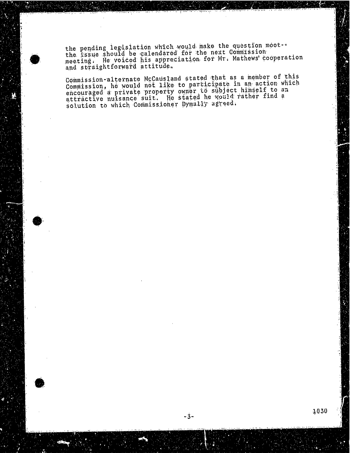the pending legislation which would make the question the issue should be calendared for the next Commission meeting. He voiced his appreciation for Mr, Mathews and straightforward at

Commission-alternate McCausland stated that as member Commission, he would not like to participate in an action encouraged a private property onner to subject the attractive nuisance suit. He stated he would read. solution to which Commissioner Dymass, a

- 3-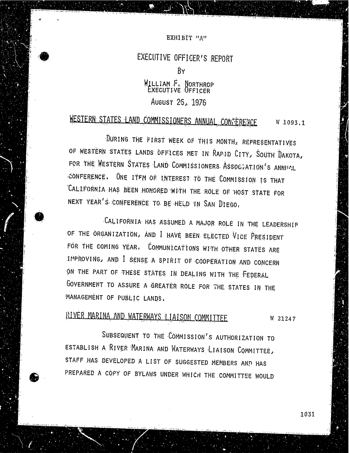### EXHIBIT "A"

# EXECUTIVE OFFICER'S REPORT BY WILLIAM F. NORTHROP

### EXECUTIVE OFFICER AUGUST 25, 1976

# WESTERN STATES LAND COMMISSIONERS ANNUAL CONFERENCE W 1093.1

DURING THE FIRST WEEK OF THIS MONTH, REPRESENTATIVES OF WESTERN STATES LANDS OFFICES MET IN RAPID CITY, SOUTH DAKOTA, FOR THE WESTERN STATES LAND COMMISSIONERS. ASSOCIATION'S ANNUAL CONFERENCE. ONE ITEM OF INTEREST TO THE COMMISSION IS THAT CALIFORNIA HAS BEEN HONORED WITH THE ROLE OF HOST STATE FOR NEXT YEAR'S CONFERENCE TO BE HELD IN SAN DIEGO.

CALIFORNIA HAS ASSUMED A MAJOR ROLE IN THE LEADERSHIP OF THE ORGANIZATION, AND I HAVE BEEN ELECTED VICE PRESIDENT FOR THE COMING YEAR, COMMUNICATIONS WITH OTHER STATES ARE IMPROVING, AND I SENSE A SPIRIT OF COOPERATION AND CONCERN ON THE PART OF THESE STATES IN DEALING WITH THE FEDERAL GOVERNMENT TO ASSURE A GREATER ROLE FOR THE STATES IN THE "MANAGEMENT OF PUBLIC LANDS.

## RIVER MARINA AND WATERWAYS LIAISON COMMITTEE W 21247

SUBSEQUENT TO THE COMMISSION'S AUTHORIZATION TO ESTABLISH A RIVER MARINA AND WATERWAYS LIAISON COMMITTEE, STAFF HAS DEVELOPED A LIST OF SUGGESTED MEMBERS AND HAS PREPARED A COPY OF BYLAWS UNDER WHICH THE COMMITTEE WOULD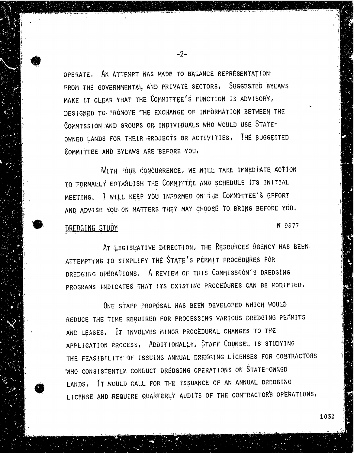OPERATE, AN ATTEMPT WAS MADE TO BALANCE REPRESENTATION FROM THE GOVERNMENTAL, AND PRIVATE SECTORS. SUGGESTED BYLAWS MAKE IT CLEAR THAT THE COMMITTEE'S FUNCTION IS ADVISORY, DESIGNED TO. PROMOTE "HE EXCHANGE OF INFORMATION BETWEEN THE COMMISSION AND GROUPS OR INDIVIDUALS WHO WOULD USE STATE-OWNED LANDS FOR THEIR PROJECTS OR ACTIVITIES. THE SUGGESTED COMMITTEE AND BYLAWS ARE BEFORE YOU.

WITH "OUR CONCURRENCE, WE WILL TAKE IMMEDIATE ACTION TO FORMALLY ESTABLISH THE COMMITTEE AND SCHEDULE ITS INITIAL MEETING, I WILL KEEP YOU INFORMED ON THE COMMITTEE'S EFFORT AND ADVISE YOU ON MATTERS THEY MAY CHOOSE TO BRING BEFORE YOU, DREDGING STUDY W 9977

AT LEGISLATIVE DIRECTION, THE RESOURCES AGENCY HAS BEEN ATTEMPTING TO SIMPLIFY THE STATE'S PERMIT PROCEDURES FOR DREDGING OPERATIONS, A REVIEW OF THIS COMMISSION'S DREDGING PROGRAMS INDICATES THAT ITS EXISTING PROCEDURES CAN BE MODIFIED,

ONE STAFF PROPOSAL HAS BEEN DEVELOPED WHICH WOULD REDUCE THE TIME REQUIRED FOR PROCESSING VARIOUS DREDGING PERMITS AND LEASES, IT INVOLVES MINOR PROCEDURAL CHANGES TO THE APPLICATION PROCESS, ADDITIONALLY, STAFF COUNSEL IS STUDYING THE FEASIBILITY OF ISSUING ANNUAL DREDGING LICENSES FOR CONTRACTORS WHO CONSISTENTLY CONDUCT DREDGING OPERATIONS ON STATE-OWNED LANDS, IT WOULD CALL FOR THE ISSUANCE OF AN ANNUAL DREDGING LICENSE AND REQUIRE QUARTERLY AUDITS OF THE CONTRACTOR'S OPERATIONS,

-2-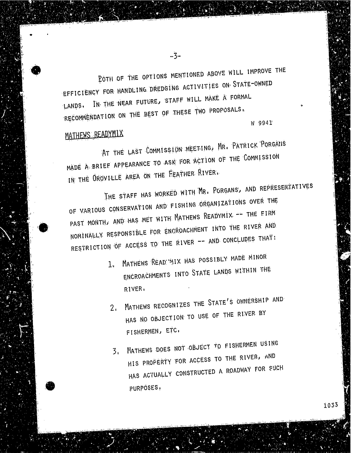BOTH OF THE OPTIONS MENTIONED ABOVE WILL IMPROVE THE<br>EFFICIENCY FOR HANDLING DREDGING ACTIVITIES ON STATE-OWNED IN THE NEAR FUTURE, STAFF WILL MAKE A FORMAL  $L$ ANDS, IN. THE NEAR FULL MAKE TWO PROPOSALS, RECOMMENDATION ON THE BEST OF THE BEST OF THE BEST OF THE BEST OF THE BEST OF THE BEST OF THE BEST OF THE BEST

-3-

MATHEWS READYMIX<br>AT THE LAST COMMISSION MEETING, MR. PATRICK PORGAILS AT THE LAST COMMISSION MADE A BRIEF APPEARANCE TO ASK FOR ACTION OF THE COMMISSION

IN THE OROVILLE AREA ON THE FEATHER RIVER.<br>THE STAFF HAS WORKED WITH MR, PORGANS, AND REPRESENTATIVES OF VARIOUS CONSERVATION AND FISHING ORGANIZATIONS OVER THE PAST MONTH, AND HAS MET WITH MATHEWS READYMIX -- THE FIRM NOMINALLY RESPONSIBLE FOR ENGROACHMENT INTO THE RIVER AND NOMINALLY RESPONSIBLE TO THE RIVER AND CONCLUDES THAT!  $R$ ESTRICTION OF ACCESS TO THE RIVER -- AND CONCLUSION  $\mathcal{L}$ 

- 1. MATHEWS READ MIX HAS POSSIBLY MADE MINOR WAS POSSIBLY MADE.  $E^{i}$ RIVER,
- 2. MATHEWS RECOGNIZES THE STATE'S OWNERSHIP AND  $HAS$   $NO$  objectives. FISHERMEN, ETC.
- 3. MATHEWS DOES NOT OBJECT TO FISHERMEN USING<br>HIS PROPERTY FOR ACCESS TO THE RIVER, AND HIS PROPERTY FOR ME.  $HW2$  MCTruby  $V2$ PURPOSES ,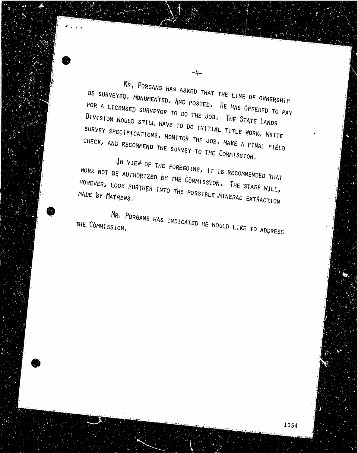MR, PORGANS HAS ASKED THAT THE LINE OF OWNERSHIP  $B$ E SURVEYED, MONUMENTED, AND POSTED TO PAY THE LINE OF OWNER FOR A LICENSED SURVEYS. TO LOVED, HE HAS OFFEDED TO FOR A LICENSED SURVEYOR TO DO THE JOB. THE STATE LANDS DIVISION WOULD STILL HAVE TO DO INITIAL TITLE WORK, WRITE SURVEY SPECIFICATIONS, MONITOR THE LITLE WORK SUBSCRIPTIONS CHECK, AND RECOMMEND TO THE COS, MAKE A FIN CHECK, AND RECOMMEND THE SURVEY TO THE COMMISSION,<br>IN VIEW OF THE FOREGOING, IT IS RECOMMENDED THAT

 $-4-$ 

WORK NOT BE AUTHORIZED BY THE COMMISSION, THE GRECOMMENTED  $\pi$  $H^{\text{HUE}}$   $\mathbb{E}$   $\mathbb{E}$   $\mathbb{E}$   $\mathbb{E}$   $\mathbb{E}$   $\mathbb{E}$   $\mathbb{E}$   $\mathbb{E}$   $\mathbb{E}$   $\mathbb{E}$   $\mathbb{E}$   $\mathbb{E}$   $\mathbb{E}$   $\mathbb{E}$   $\mathbb{E}$   $\mathbb{E}$   $\mathbb{E}$   $\mathbb{E}$   $\mathbb{E}$   $\mathbb{E}$   $\mathbb{E}$   $\mathbb{E}$   $\mathbb{E}$   $\math$ HOWEVER, LOOK FURTHER INTO THE POSSIBLE MINERAL EXTRACTION

MR. PORGANS HAS INDICATED HE WOULD LIKE TO ADDRESS THE COMMISSION.

1034